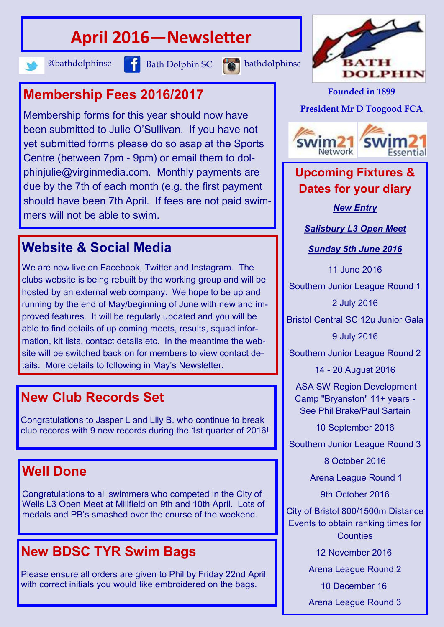# **April 2016—Newsletter**





Membership forms for this year should now have been submitted to Julie O'Sullivan. If you have not yet submitted forms please do so asap at the Sports Centre (between 7pm - 9pm) or email them to dolphinjulie@virginmedia.com. Monthly payments are due by the 7th of each month (e.g. the first payment should have been 7th April. If fees are not paid swimmers will not be able to swim.

#### **Website & Social Media**

We are now live on Facebook, Twitter and Instagram. The clubs website is being rebuilt by the working group and will be hosted by an external web company. We hope to be up and running by the end of May/beginning of June with new and improved features. It will be regularly updated and you will be able to find details of up coming meets, results, squad information, kit lists, contact details etc. In the meantime the website will be switched back on for members to view contact details. More details to following in May's Newsletter.

### **New Club Records Set**

Congratulations to Jasper L and Lily B. who continue to break club records with 9 new records during the 1st quarter of 2016!

### **Well Done**

Congratulations to all swimmers who competed in the City of Wells L3 Open Meet at Millfield on 9th and 10th April. Lots of medals and PB's smashed over the course of the weekend.

### **New BDSC TYR Swim Bags**

Please ensure all orders are given to Phil by Friday 22nd April with correct initials you would like embroidered on the bags.



**Founded in 1899**

**President Mr D Toogood FCA**



#### **Upcoming Fixtures & Dates for your diary**

*New Entry*

*Salisbury L3 Open Meet*

*Sunday 5th June 2016*

11 June 2016

Southern Junior League Round 1

2 July 2016

Bristol Central SC 12u Junior Gala

9 July 2016

Southern Junior League Round 2

14 - 20 August 2016

ASA SW Region Development Camp "Bryanston" 11+ years - See Phil Brake/Paul Sartain

10 September 2016

Southern Junior League Round 3

8 October 2016

Arena League Round 1

9th October 2016

City of Bristol 800/1500m Distance Events to obtain ranking times for **Counties** 

12 November 2016

Arena League Round 2

10 December 16

Arena League Round 3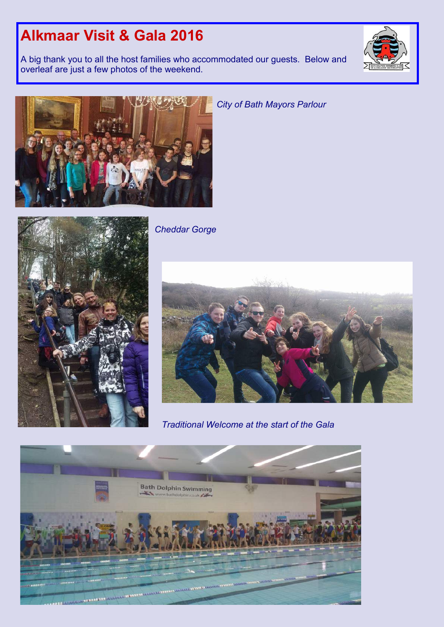## **Alkmaar Visit & Gala 2016**

A big thank you to all the host families who accommodated our guests. Below and overleaf are just a few photos of the weekend.





*City of Bath Mayors Parlour*



*Cheddar Gorge*



*Traditional Welcome at the start of the Gala*